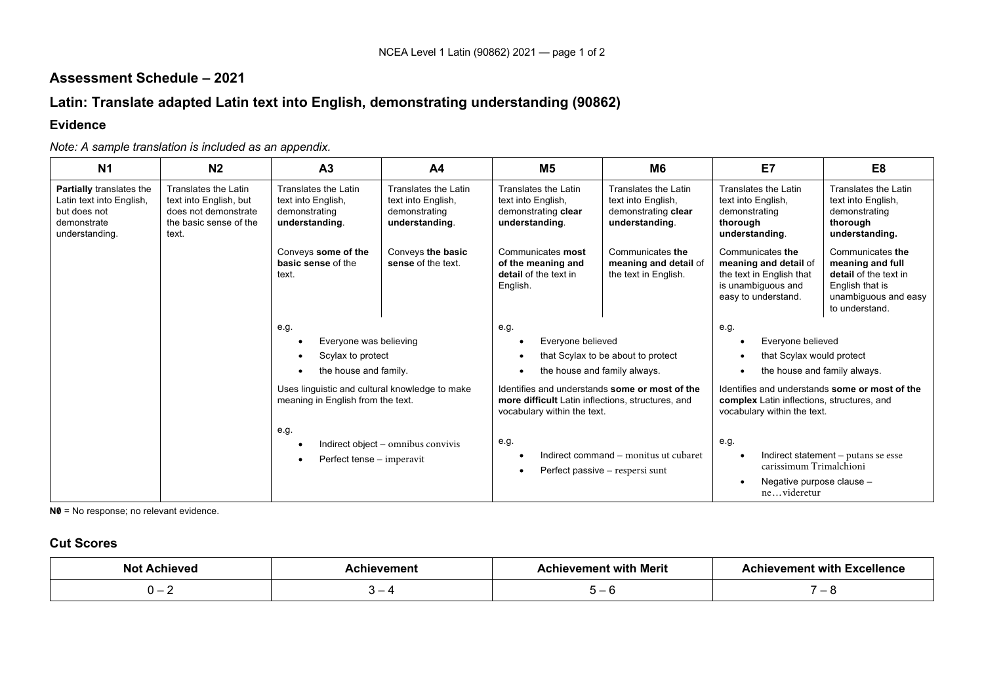## **Assessment Schedule – 2021**

# **Latin: Translate adapted Latin text into English, demonstrating understanding (90862)**

### **Evidence**

#### *Note: A sample translation is included as an appendix.*

| N <sub>1</sub>                                                                                        | N <sub>2</sub>                                                                                            | A <sub>3</sub>                                                                      | A <sub>4</sub>                                                                | M5                                                                                                                                 | M <sub>6</sub>                                                                      | E7                                                                                                                          | E8                                                                                                                         |
|-------------------------------------------------------------------------------------------------------|-----------------------------------------------------------------------------------------------------------|-------------------------------------------------------------------------------------|-------------------------------------------------------------------------------|------------------------------------------------------------------------------------------------------------------------------------|-------------------------------------------------------------------------------------|-----------------------------------------------------------------------------------------------------------------------------|----------------------------------------------------------------------------------------------------------------------------|
| Partially translates the<br>Latin text into English,<br>but does not<br>demonstrate<br>understanding. | Translates the Latin<br>text into English, but<br>does not demonstrate<br>the basic sense of the<br>text. | Translates the Latin<br>text into English,<br>demonstrating<br>understanding.       | Translates the Latin<br>text into English,<br>demonstrating<br>understanding. | Translates the Latin<br>text into English,<br>demonstrating clear<br>understanding.                                                | Translates the Latin<br>text into English,<br>demonstrating clear<br>understanding. | Translates the Latin<br>text into English,<br>demonstrating<br>thorough<br>understanding.                                   | Translates the Latin<br>text into English,<br>demonstrating<br>thorough<br>understanding.                                  |
|                                                                                                       |                                                                                                           | Conveys some of the<br>basic sense of the<br>text.                                  | Conveys the basic<br>sense of the text.                                       | Communicates most<br>of the meaning and<br>detail of the text in<br>English.                                                       | Communicates the<br>meaning and detail of<br>the text in English.                   | Communicates the<br>meaning and detail of<br>the text in English that<br>is unambiguous and<br>easy to understand.          | Communicates the<br>meaning and full<br>detail of the text in<br>English that is<br>unambiguous and easy<br>to understand. |
|                                                                                                       |                                                                                                           | e.g.                                                                                |                                                                               | e.g.                                                                                                                               |                                                                                     | e.g.                                                                                                                        |                                                                                                                            |
|                                                                                                       | Everyone was believing                                                                                    |                                                                                     |                                                                               | Everyone believed<br>that Scylax to be about to protect                                                                            |                                                                                     | Everyone believed<br>$\bullet$                                                                                              |                                                                                                                            |
|                                                                                                       |                                                                                                           | Scylax to protect                                                                   |                                                                               |                                                                                                                                    |                                                                                     | that Scylax would protect<br>$\bullet$                                                                                      |                                                                                                                            |
|                                                                                                       |                                                                                                           | the house and family.                                                               |                                                                               | the house and family always.                                                                                                       |                                                                                     | the house and family always.<br>$\bullet$                                                                                   |                                                                                                                            |
|                                                                                                       |                                                                                                           | Uses linguistic and cultural knowledge to make<br>meaning in English from the text. |                                                                               | Identifies and understands some or most of the<br>more difficult Latin inflections, structures, and<br>vocabulary within the text. |                                                                                     | Identifies and understands some or most of the<br>complex Latin inflections, structures, and<br>vocabulary within the text. |                                                                                                                            |
|                                                                                                       |                                                                                                           | e.g.<br>Perfect tense – imperavit                                                   | Indirect object - omnibus convivis                                            | e.g.                                                                                                                               | Indirect command – monitus ut cubaret<br>Perfect passive – respersi sunt            | e.g.<br>$\bullet$<br>carissimum Trimalchioni<br>Negative purpose clause -<br>$\bullet$<br>nevideretur                       | Indirect statement – putans se esse                                                                                        |

**N0** = No response; no relevant evidence.

#### **Cut Scores**

| No<br>hieve. | hievement | evement with Merit<br>…ulev~∶ | <b>Achievement with Excellence</b> |
|--------------|-----------|-------------------------------|------------------------------------|
|              | _         |                               | $\overline{\phantom{0}}$           |